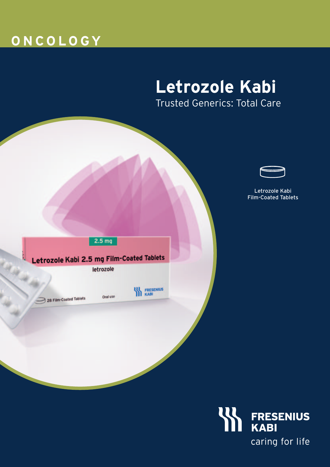# **O N C O L O GY**

# **Letrozole Kabi** Trusted Generics: Total Care



Letrozole Kabi Film-Coated Tablets

 $2.5<sub>mg</sub>$ 

### Letrozole Kabi 2.5 mg Film-Coated Tablets

letrozole

28 Film-Coated Tablets

Oral use

**KABI**<br>**IN** KABI

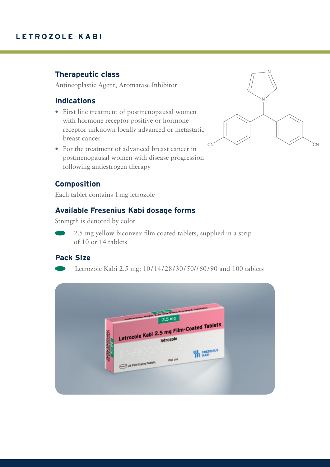### **Therapeutic class**

Antineoplastic Agent; Aromatase Inhibitor

#### **Indications**

- First line treatment of postmenopausal women with hormone receptor positive or hormone receptor unknown locally advanced or metastatic breast cancer
- For the treatment of advanced breast cancer in postmenopausal women with disease progression following antiestrogen therapy



### **Composition**

Each tablet contains 1mg letrozole

#### **Available Fresenius Kabi dosage forms**

Strength is denoted by color



 2.5 mg yellow biconvex film coated tablets, supplied in a strip of 10 or 14 tablets

#### **Pack Size**

Letrozole Kabi 2.5 mg: 10/14/28/30/50//60/90 and 100 tablets

|                                                     | Locations Capital S. To this Element Council Tendence<br>$2.5 \text{ mg}$ |                  |  |
|-----------------------------------------------------|---------------------------------------------------------------------------|------------------|--|
|                                                     |                                                                           |                  |  |
| Letter                                              | Letrozole Kabi 2.5 mg Film-Coated Tablets<br>letrozole                    |                  |  |
| <b>C.S. Ind.</b><br>Ne Kell 2.5 mg<br>oated Tabiets | Oral use                                                                  | <b>THESENIUS</b> |  |
| 28 Film Coated Tablets                              |                                                                           |                  |  |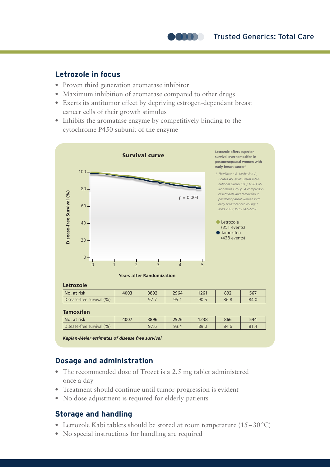Trusted Generics: Total Care

#### **Letrozole in focus**

- Proven third generation aromatase inhibitor
- Maximum inhibition of aromatase compared to other drugs
- Exerts its antitumor effect by depriving estrogen-dependant breast cancer cells of their growth stimulus

**ARTIC** 

• Inhibits the aromatase enzyme by competitively binding to the cytochrome P450 subunit of the enzyme



*Kaplan-Meier estimates of disease free survival.*

#### **Dosage and administration**

- The recommended dose of Trozet is a 2.5 mg tablet administered once a day
- Treatment should continue until tumor progression is evident
- No dose adjustment is required for elderly patients

#### **Storage and handling**

- Letrozole Kabi tablets should be stored at room temperature (15–30 °C)
- No special instructions for handling are required